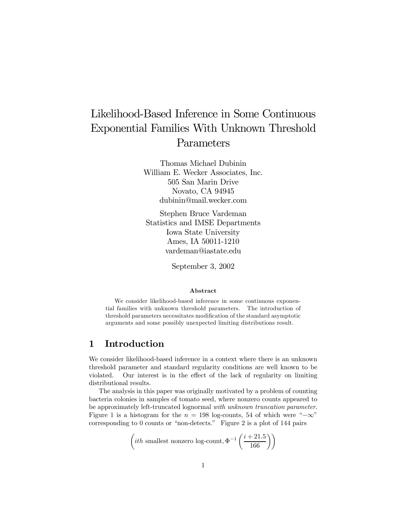# Likelihood-Based Inference in Some Continuous Exponential Families With Unknown Threshold Parameters

Thomas Michael Dubinin William E. Wecker Associates, Inc. 505 San Marin Drive Novato, CA 94945 dubinin@mail.wecker.com

Stephen Bruce Vardeman Statistics and IMSE Departments Iowa State University Ames, IA 50011-1210 vardeman@iastate.edu

September 3, 2002

#### Abstract

We consider likelihood-based inference in some continuous exponential families with unknown threshold parameters. The introduction of threshold parameters necessitates modification of the standard asymptotic arguments and some possibly unexpected limiting distributions result.

## 1 Introduction

We consider likelihood-based inference in a context where there is an unknown threshold parameter and standard regularity conditions are well known to be violated. Our interest is in the effect of the lack of regularity on limiting distributional results.

The analysis in this paper was originally motivated by a problem of counting bacteria colonies in samples of tomato seed, where nonzero counts appeared to be approximately left-truncated lognormal with unknown truncation parameter. Figure 1 is a histogram for the  $n = 198$  log-counts, 54 of which were " $-\infty$ " corresponding to 0 counts or "non-detects." Figure 2 is a plot of 144 pairs

$$
\left(ith \text{ smallest nonzero log-count}, \Phi^{-1}\left(\frac{i+21.5}{166}\right)\right)
$$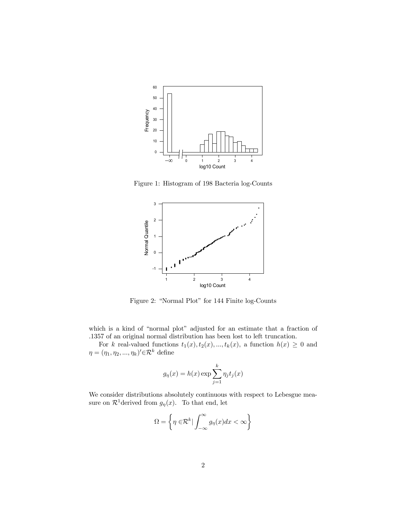

Figure 1: Histogram of 198 Bacteria log-Counts



Figure 2: "Normal Plot" for 144 Finite log-Counts

which is a kind of "normal plot" adjusted for an estimate that a fraction of .1357 of an original normal distribution has been lost to left truncation.

For k real-valued functions  $t_1(x)$ ,  $t_2(x)$ , ...,  $t_k(x)$ , a function  $h(x) \geq 0$  and  $\eta = (\eta_1, \eta_2, ..., \eta_k)' \in \mathcal{R}^k$  define

$$
g_{\eta}(x) = h(x) \exp \sum_{j=1}^{k} \eta_j t_j(x)
$$

We consider distributions absolutely continuous with respect to Lebesgue measure on  $\mathcal{R}^1$  derived from  $g_{\eta}(x)$ . To that end, let

$$
\Omega = \left\{ \eta \in \mathcal{R}^k \vert \int_{-\infty}^{\infty} g_{\eta}(x) dx < \infty \right\}
$$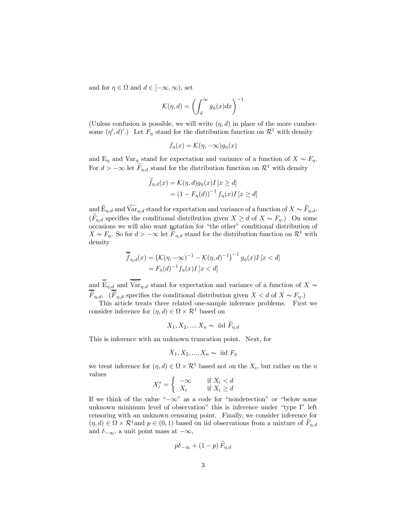and for  $\eta \in \Omega$  and  $d \in [-\infty, \infty)$ , set

$$
\mathcal{K}(\eta, d) = \left(\int_d^\infty g_\eta(x) dx\right)^{-1}
$$

(Unless confusion is possible, we will write  $(\eta, d)$  in place of the more cumbersome  $(\eta', d)'$ .) Let  $F_{\eta}$  stand for the distribution function on  $\mathcal{R}^1$  with density

$$
f_{\eta}(x) = \mathcal{K}(\eta, -\infty)g_{\eta}(x)
$$

and  $E_{\eta}$  and  $Var_{\eta}$  stand for expectation and variance of a function of  $X \sim F_{\eta}$ . For  $d > -\infty$  let  $F_{\eta,d}$  stand for the distribution function on  $\mathcal{R}^1$  with density

$$
\begin{aligned} f_{\eta,d}(x) &= \mathcal{K}(\eta,d)g_{\eta}(x)I\left[x \ge d\right] \\ &= \left(1 - F_{\eta}(d)\right)^{-1} f_{\eta}(x)I\left[x \ge d\right] \end{aligned}
$$

and  $\widetilde{E}_{\eta,d}$  and  $\widetilde{\text{Var}}_{\eta,d}$  stand for expectation and variance of a function of  $X \sim \widetilde{F}_{\eta,d}$ .  $(F_{\eta,d}$  specifies the conditional distribution given  $X \geq d$  of  $X \sim F_{\eta}$ .) On some occasions we will also want notation for "the other" conditional distribution of  $X \sim F_{\eta}$ . So for  $d > -\infty$  let  $F_{\eta,d}$  stand for the distribution function on  $\mathcal{R}^1$  with density

$$
\overline{\widetilde{f}}_{\eta,d}(x) = \left(\mathcal{K}(\eta, -\infty)^{-1} - \mathcal{K}(\eta, d)^{-1}\right)^{-1} g_{\eta}(x) I[x < d]
$$

$$
= F_{\eta}(d)^{-1} f_{\eta}(x) I[x < d]
$$

and  $\overline{\widetilde{\mathbf{E}}}_{\eta,d}$  and  $\overline{\widetilde{\mathbf{Var}}}_{\eta,d}$  stand for expectation and variance of a function of X ∼  $\overline{\widetilde{F}}_{\eta,d}$ . ( $\overline{\widetilde{F}}_{\eta,d}$  specifies the conditional distribution given  $X < d$  of  $X \sim F_{\eta}$ .)

This article treats three related one-sample inference problems. First we consider inference for  $(\eta, d) \in \Omega \times \mathcal{R}^1$  based on

$$
X_1, X_2, ..., X_n \sim \text{ iid } \widetilde{F}_{\eta,d}
$$

This is inference with an unknown truncation point. Next, for

$$
X_1, X_2, \dots, X_n \sim \text{ iid } F_\eta
$$

we treat inference for  $(\eta, d) \in \Omega \times \mathcal{R}^1$  based not on the  $X_i$ , but rather on the n values

$$
X_i^* = \begin{cases} -\infty & \text{if } X_i < d \\ X_i & \text{if } X_i \ge d \end{cases}
$$

If we think of the value "−∞" as a code for "nondetection" or "below some unknown minimum level of observation" this is inference under "type I" left censoring with an unknown censoring point. Finally, we consider inference for  $(\eta, d) \in \Omega \times \mathcal{R}^1$  and  $p \in (0, 1)$  based on iid observations from a mixture of  $F_{n,d}$ and  $\delta_{-\infty}$ , a unit point mass at  $-\infty$ ,

$$
p\delta_{-\infty} + (1-p) F_{\eta,d}
$$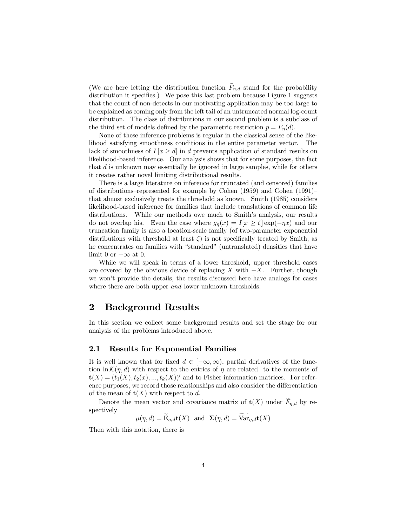(We are here letting the distribution function  $\widetilde{F}_{\eta,d}$  stand for the probability distribution it specifies.) We pose this last problem because Figure 1 suggests that the count of non-detects in our motivating application may be too large to be explained as coming only from the left tail of an untruncated normal log-count distribution. The class of distributions in our second problem is a subclass of the third set of models defined by the parametric restriction  $p = F_n(d)$ .

None of these inference problems is regular in the classical sense of the likelihood satisfying smoothness conditions in the entire parameter vector. The lack of smoothness of  $I[x > d]$  in d prevents application of standard results on likelihood-based inference. Our analysis shows that for some purposes, the fact that  $d$  is unknown may essentially be ignored in large samples, while for others it creates rather novel limiting distributional results.

There is a large literature on inference for truncated (and censored) families of distributions—represented for example by Cohen (1959) and Cohen (1991) that almost exclusively treats the threshold as known. Smith (1985) considers likelihood-based inference for families that include translations of common life distributions. While our methods owe much to Smith's analysis, our results do not overlap his. Even the case where  $g_{\eta}(x) = I[x \geq \zeta] \exp(-\eta x)$  and our truncation family is also a location-scale family (of two-parameter exponential distributions with threshold at least  $\zeta$  is not specifically treated by Smith, as he concentrates on families with "standard" (untranslated) densities that have limit 0 or  $+\infty$  at 0.

While we will speak in terms of a lower threshold, upper threshold cases are covered by the obvious device of replacing X with  $-X$ . Further, though we won't provide the details, the results discussed here have analogs for cases where there are both upper *and* lower unknown thresholds.

## 2 Background Results

In this section we collect some background results and set the stage for our analysis of the problems introduced above.

### 2.1 Results for Exponential Families

It is well known that for fixed  $d \in [-\infty, \infty)$ , partial derivatives of the function  $\ln \mathcal{K}(\eta, d)$  with respect to the entries of  $\eta$  are related to the moments of  $\mathbf{t}(X)=(t_1(X), t_2(x), ..., t_k(X))'$  and to Fisher information matrices. For reference purposes, we record those relationships and also consider the differentiation of the mean of  $\mathbf{t}(X)$  with respect to d.

Denote the mean vector and covariance matrix of  $\mathbf{t}(X)$  under  $\widetilde{F}_{\eta,d}$  by respectively

$$
\mu(\eta, d) = \mathcal{E}_{\eta, d} \mathbf{t}(X)
$$
 and  $\Sigma(\eta, d) = \text{Var}_{\eta, d} \mathbf{t}(X)$ 

Then with this notation, there is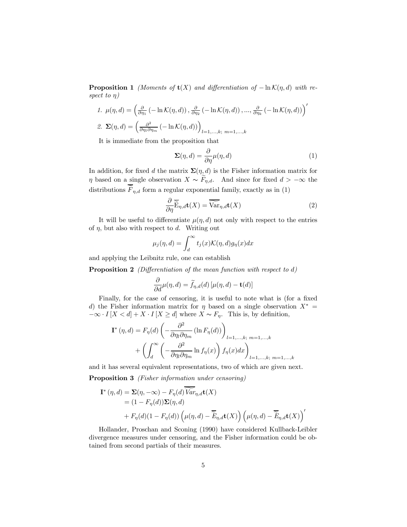**Proposition 1** (Moments of **t**(X) and differentiation of  $-\ln \mathcal{K}(\eta, d)$  with respect to  $\eta$ )

1. 
$$
\mu(\eta, d) = \left(\frac{\partial}{\partial \eta_1} \left(-\ln \mathcal{K}(\eta, d)\right), \frac{\partial}{\partial \eta_2} \left(-\ln \mathcal{K}(\eta, d)\right), \dots, \frac{\partial}{\partial \eta_k} \left(-\ln \mathcal{K}(\eta, d)\right)\right)'
$$
  
\n2.  $\Sigma(\eta, d) = \left(\frac{\partial^2}{\partial \eta_1 \partial \eta_m} \left(-\ln \mathcal{K}(\eta, d)\right)\right)_{l=1,\dots,k; \ m=1,\dots,k}$ 

It is immediate from the proposition that

$$
\Sigma(\eta, d) = \frac{\partial}{\partial \eta} \mu(\eta, d) \tag{1}
$$

In addition, for fixed d the matrix  $\Sigma(\eta, d)$  is the Fisher information matrix for  $\eta$  based on a single observation  $X \sim \widetilde{F}_{\eta,d}$ . And since for fixed  $d > -\infty$  the distributions  $\widetilde{F}_{n,d}$  form a regular exponential family, exactly as in (1)

$$
\frac{\partial}{\partial \eta} \widetilde{\mathbf{E}}_{\eta,d} \mathbf{t}(X) = \widetilde{\widehat{\text{Var}}_{\eta,d}} \mathbf{t}(X)
$$
\n(2)

It will be useful to differentiate  $\mu(\eta, d)$  not only with respect to the entries of  $\eta$ , but also with respect to d. Writing out

$$
\mu_j(\eta, d) = \int_d^{\infty} t_j(x) \mathcal{K}(\eta, d) g_{\eta}(x) dx
$$

and applying the Leibnitz rule, one can establish

Proposition 2 (Differentiation of the mean function with respect to d)

$$
\frac{\partial}{\partial d}\mu(\eta, d) = \widetilde{f}_{\eta, d}(d) \left[ \mu(\eta, d) - \mathbf{t}(d) \right]
$$

Finally, for the case of censoring, it is useful to note what is (for a fixed d) the Fisher information matrix for  $\eta$  based on a single observation  $X^* =$  $-\infty$  ·  $I[X < d] + X \cdot I[X \geq d]$  where  $X \sim F_n$ . This is, by definition,

$$
\mathbf{I}^*(\eta, d) = F_{\eta}(d) \left( -\frac{\partial^2}{\partial \eta_l \partial \eta_m} (\ln F_{\eta}(d)) \right)_{l=1,...,k; \ m=1,...,k}
$$

$$
+ \left( \int_d^{\infty} \left( -\frac{\partial^2}{\partial \eta_l \partial \eta_m} \ln f_{\eta}(x) \right) f_{\eta}(x) dx \right)_{l=1,...,k; \ m=1,...,k}
$$

and it has several equivalent representations, two of which are given next.

Proposition 3 (Fisher information under censoring)

$$
\mathbf{I}^*(\eta, d) = \mathbf{\Sigma}(\eta, -\infty) - F_{\eta}(d) \widetilde{\mathit{Var}}_{\eta, d} \mathbf{t}(X)
$$
  
=  $(1 - F_{\eta}(d)) \mathbf{\Sigma}(\eta, d)$   
+  $F_{\eta}(d) (1 - F_{\eta}(d)) \left( \mu(\eta, d) - \widetilde{\mathit{E}}_{\eta, d} \mathbf{t}(X) \right) \left( \mu(\eta, d) - \widetilde{\mathit{E}}_{\eta, d} \mathbf{t}(X) \right)'$ 

Hollander, Proschan and Sconing (1990) have considered Kullback-Leibler divergence measures under censoring, and the Fisher information could be obtained from second partials of their measures.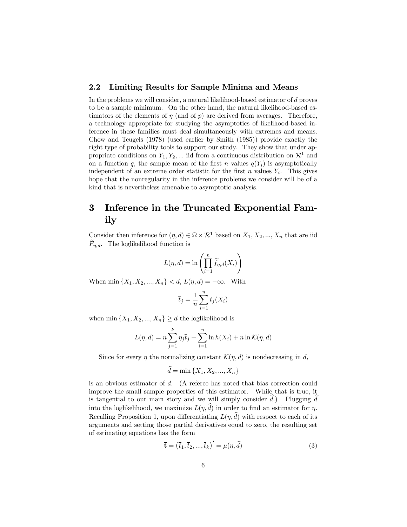### 2.2 Limiting Results for Sample Minima and Means

In the problems we will consider, a natural likelihood-based estimator of d proves to be a sample minimum. On the other hand, the natural likelihood-based estimators of the elements of  $\eta$  (and of p) are derived from averages. Therefore, a technology appropriate for studying the asymptotics of likelihood-based inference in these families must deal simultaneously with extremes and means. Chow and Teugels (1978) (used earlier by Smith (1985)) provide exactly the right type of probability tools to support our study. They show that under appropriate conditions on  $Y_1, Y_2, \dots$  iid from a continuous distribution on  $\mathcal{R}^1$  and on a function q, the sample mean of the first n values  $q(Y_i)$  is asymptotically independent of an extreme order statistic for the first  $n$  values  $Y_i$ . This gives hope that the nonregularity in the inference problems we consider will be of a kind that is nevertheless amenable to asymptotic analysis.

## 3 Inference in the Truncated Exponential Family

Consider then inference for  $(\eta, d) \in \Omega \times \mathcal{R}^1$  based on  $X_1, X_2, ..., X_n$  that are iid  $F_{n,d}$ . The loglikelihood function is

$$
L(\eta, d) = \ln \left( \prod_{i=1}^{n} \widetilde{f}_{\eta, d}(X_i) \right)
$$

When min  $\{X_1, X_2, ..., X_n\} < d$ ,  $L(\eta, d) = -\infty$ . With

$$
\overline{t}_j = \frac{1}{n} \sum_{i=1}^n t_j(X_i)
$$

when min  $\{X_1, X_2, ..., X_n\} \ge d$  the loglikelihood is

$$
L(\eta, d) = n \sum_{j=1}^{k} \eta_j \bar{t}_j + \sum_{i=1}^{n} \ln h(X_i) + n \ln \mathcal{K}(\eta, d)
$$

Since for every  $\eta$  the normalizing constant  $\mathcal{K}(\eta, d)$  is nondecreasing in d,

$$
d = \min\{X_1, X_2, ..., X_n\}
$$

is an obvious estimator of d. (A referee has noted that bias correction could improve the small sample properties of this estimator. While that is true, it is tangential to our main story and we will simply consider  $d$ .) Plugging  $d$ into the loglikelihood, we maximize  $L(\eta, d)$  in order to find an estimator for  $\eta$ . Recalling Proposition 1, upon differentiating  $L(\eta, d)$  with respect to each of its arguments and setting those partial derivatives equal to zero, the resulting set of estimating equations has the form

$$
\overline{\mathbf{t}} = (\overline{t}_1, \overline{t}_2, ..., \overline{t}_k)' = \mu(\eta, \widehat{d}) \tag{3}
$$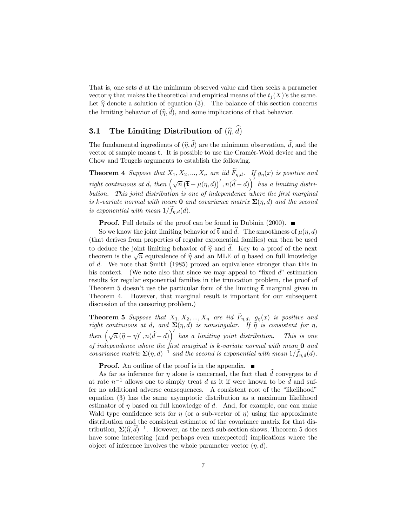That is, one sets d at the minimum observed value and then seeks a parameter vector  $\eta$  that makes the theoretical and empirical means of the  $t_i(X)$ 's the same. Let  $\hat{\eta}$  denote a solution of equation (3). The balance of this section concerns the limiting behavior of  $(\hat{\eta}, d)$ , and some implications of that behavior.

# **3.1** The Limiting Distribution of  $(\widehat{\eta}, d)$

The fundamental ingredients of  $(\hat{\eta}, d)$  are the minimum observation, d, and the vector of sample means  $\overline{t}$ . It is possible to use the Cramér-Wold device and the Chow and Teugels arguments to establish the following.

**Theorem 4** Suppose that  $X_1, X_2, ..., X_n$  are iid  $\widetilde{F}_{\eta,d}$ . If  $g_{\eta}(x)$  is positive and right continuous at d, then  $(\sqrt{n}(\bar{\mathbf{t}} - \mu(\eta, d))'$ ,  $n(\hat{d} - d)$  has a limiting distribution. This joint distribution is one of independence where the first marginal is k-variate normal with mean **0** and covariance matrix  $\Sigma(\eta, d)$  and the second is exponential with mean  $1/f_{\eta,d}(d)$ .

**Proof.** Full details of the proof can be found in Dubinin (2000).  $\blacksquare$ 

So we know the joint limiting behavior of  $\bar{t}$  and d. The smoothness of  $\mu(\eta, d)$ (that derives from properties of regular exponential families) can then be used to deduce the joint limiting behavior of  $\hat{\eta}$  and  $\hat{d}$ . Key to a proof of the next theorem is the  $\sqrt{n}$  equivalence of  $\hat{\eta}$  and an MLE of  $\eta$  based on full knowledge of d. We note that Smith (1985) proved an equivalence stronger than this in his context. (We note also that since we may appeal to "fixed  $d$ " estimation results for regular exponential families in the truncation problem, the proof of Theorem 5 doesn't use the particular form of the limiting  $\bar{t}$  marginal given in Theorem 4. However, that marginal result is important for our subsequent discussion of the censoring problem.)

**Theorem 5** Suppose that  $X_1, X_2, ..., X_n$  are iid  $F_{\eta,d}$ ,  $g_{\eta}(x)$  is positive and right continuous at d, and  $\Sigma(\eta, d)$  is nonsingular. If  $\hat{\eta}$  is consistent for  $\eta$ , then  $\left(\sqrt{n}(\widehat{\eta}-\eta)',n(\widehat{d}-d)\right)'$  has a limiting joint distribution. This is one of independence where the first marginal is  $k$ -variate normal with mean  $\mathbf 0$  and covariance matrix  $\Sigma(\eta, d)^{-1}$  and the second is exponential with mean  $1/\tilde{f}_{\eta,d}(d)$ .

**Proof.** An outline of the proof is in the appendix.  $\blacksquare$ 

As far as inference for  $\eta$  alone is concerned, the fact that d converges to d at rate  $n^{-1}$  allows one to simply treat d as it if were known to be  $\hat{d}$  and suffer no additional adverse consequences. A consistent root of the "likelihood" equation (3) has the same asymptotic distribution as a maximum likelihood estimator of  $\eta$  based on full knowledge of d. And, for example, one can make Wald type confidence sets for  $\eta$  (or a sub-vector of  $\eta$ ) using the approximate distribution and the consistent estimator of the covariance matrix for that distribution,  $\Sigma(\hat{\eta}, \hat{d})^{-1}$ . However, as the next sub-section shows, Theorem 5 does have some interesting (and perhaps even unexpected) implications where the object of inference involves the whole parameter vector  $(\eta, d)$ .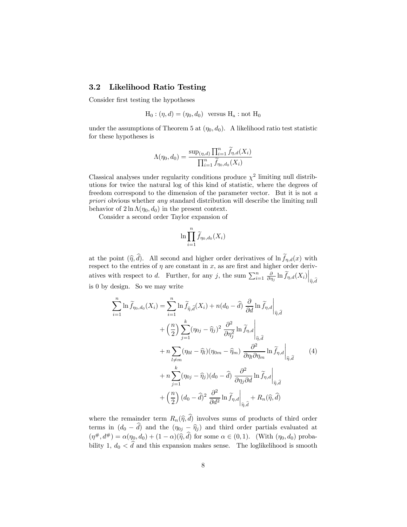### 3.2 Likelihood Ratio Testing

Consider first testing the hypotheses

$$
\mathrm{H}_0:(\eta,d)=(\eta_0,d_0)\ \ \text{versus}\ \mathrm{H}_\mathrm{a}:\mathrm{not}\ \mathrm{H}_0
$$

under the assumptions of Theorem 5 at  $(\eta_0, d_0)$ . A likelihood ratio test statistic for these hypotheses is

$$
\Lambda(\eta_0, d_0) = \frac{\sup_{(\eta,d)} \prod_{i=1}^n \widetilde{f}_{\eta,d}(X_i)}{\prod_{i=1}^n \widetilde{f}_{\eta_0,d_0}(X_i)}
$$

Classical analyses under regularity conditions produce  $\chi^2$  limiting null distributions for twice the natural log of this kind of statistic, where the degrees of freedom correspond to the dimension of the parameter vector. But it is not a priori obvious whether any standard distribution will describe the limiting null behavior of  $2 \ln \Lambda(\eta_0, d_0)$  in the present context.

Consider a second order Taylor expansion of

$$
\ln \prod_{i=1}^n \widetilde{f}_{\eta_0,d_0}(X_i)
$$

at the point  $(\hat{\eta}, d)$ . All second and higher order derivatives of ln  $f_{\eta,d}(x)$  with respect to the entries of  $\eta$  are constant in x, as are first and higher order derivatives with respect to d. Further, for any j, the sum  $\sum_{i=1}^{n} \frac{\partial}{\partial \eta_i} \ln \widetilde{f}_{\eta,d}(X_i) \Big|_{\widehat{\eta},\widehat{d}}$ is 0 by design. So we may write

$$
\sum_{i=1}^{n} \ln \widetilde{f}_{\eta_{0},d_{0}}(X_{i}) = \sum_{i=1}^{n} \ln \widetilde{f}_{\widehat{\eta},\widehat{d}}(X_{i}) + n(d_{0} - \widehat{d}) \left. \frac{\partial}{\partial d} \ln \widetilde{f}_{\eta,d} \right|_{\widehat{\eta},\widehat{d}}
$$

$$
+ \left( \frac{n}{2} \right) \sum_{j=1}^{k} (\eta_{0j} - \widehat{\eta}_{j})^{2} \left. \frac{\partial^{2}}{\partial \eta_{j}^{2}} \ln \widetilde{f}_{\eta,d} \right|_{\widehat{\eta},\widehat{d}}
$$

$$
+ n \sum_{l \neq m} (\eta_{0l} - \widehat{\eta}_{l}) (\eta_{0m} - \widehat{\eta}_{m}) \left. \frac{\partial^{2}}{\partial \eta_{l} \partial \eta_{m}} \ln \widetilde{f}_{\eta,d} \right|_{\widehat{\eta},\widehat{d}}
$$

$$
+ n \sum_{j=1}^{k} (\eta_{0j} - \widehat{\eta}_{j}) (d_{0} - \widehat{d}) \left. \frac{\partial^{2}}{\partial \eta_{j} \partial d} \ln \widetilde{f}_{\eta,d} \right|_{\widehat{\eta},\widehat{d}}
$$

$$
+ \left( \frac{n}{2} \right) (d_{0} - \widehat{d})^{2} \left. \frac{\partial^{2}}{\partial d^{2}} \ln \widetilde{f}_{\eta,d} \right|_{\widehat{\eta},\widehat{d}} + R_{n}(\widehat{\eta},\widehat{d})
$$
(4)

where the remainder term  $R_n(\hat{\eta}, d)$  involves sums of products of third order terms in  $(d_0 - d)$  and the  $(\eta_{0j} - \hat{\eta}_j)$  and third order partials evaluated at  $(\eta^*, d^*) = \alpha(\eta_0, d_0) + (1 - \alpha)(\hat{\eta}, d)$  for some  $\alpha \in (0, 1)$ . (With  $(\eta_0, d_0)$  probability 1,  $d_0 < d$  and this expansion makes sense. The loglikelihood is smooth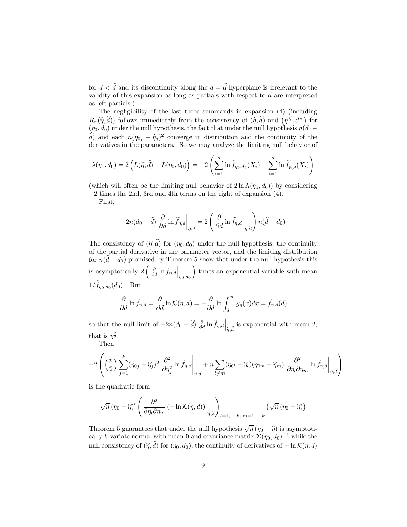for  $d < d$  and its discontinuity along the  $d = d$  hyperplane is irrelevant to the validity of this expansion as long as partials with respect to  $d$  are interpreted as left partials.)

The negligibility of the last three summands in expansion (4) (including  $R_n(\hat{\eta}, \hat{d})$  follows immediately from the consistency of  $(\hat{\eta}, \hat{d})$  and  $(\eta^{\#}, d^{\#})$  for  $(\eta_0, d_0)$  under the null hypothesis, the fact that under the null hypothesis  $n(d_0$ d) and each  $n(\eta_{0j} - \hat{\eta}_j)^2$  converge in distribution and the continuity of the derivatives in the parameters. So we may analyze the limiting null behavior of

$$
\lambda(\eta_0, d_0) = 2\left(L(\widehat{\eta}, \widehat{d}) - L(\eta_0, d_0)\right) = -2\left(\sum_{i=1}^n \ln \widetilde{f}_{\eta_0, d_0}(X_i) - \sum_{i=1}^n \ln \widetilde{f}_{\widehat{\eta}, \widehat{d}}(X_i)\right)
$$

(which will often be the limiting null behavior of  $2 \ln \Lambda(\eta_0, d_0)$ ) by considering −2 times the 2nd, 3rd and 4th terms on the right of expansion (4).

First,

$$
-2n(d_0 - \widehat{d}) \left. \frac{\partial}{\partial d} \ln \widetilde{f}_{\eta,d} \right|_{\widehat{\eta},\widehat{d}} = 2 \left( \left. \frac{\partial}{\partial d} \ln \widetilde{f}_{\eta,d} \right|_{\widehat{\eta},\widehat{d}} \right) n(\widehat{d} - d_0)
$$

The consistency of  $(\hat{\eta}, d)$  for  $(\eta_0, d_0)$  under the null hypothesis, the continuity of the partial derivative in the parameter vector, and the limiting distribution for  $n(d - d_0)$  promised by Theorem 5 show that under the null hypothesis this is asymptotically 2  $\left(\left.\frac{\partial}{\partial d} \ln \widetilde{f}_{\eta,d}\right|_{\eta_0,d_0}\right.\\$  $\setminus$ times an exponential variable with mean  $1/f_{\eta_0,d_0}(d_0)$ . But

$$
\frac{\partial}{\partial d} \ln \widetilde{f}_{\eta,d} = \frac{\partial}{\partial d} \ln \mathcal{K}(\eta,d) = -\frac{\partial}{\partial d} \ln \int_d^\infty g_\eta(x)dx = \widetilde{f}_{\eta,d}(d)
$$

so that the null limit of  $-2n(d_0 - \hat{d}) \frac{\partial}{\partial d} \ln \widetilde{f}_{\eta,d} \Big|_{\widehat{\eta},\widehat{d}}$  is exponential with mean 2, that is  $\chi_2^2$ .

Then

$$
-2\left(\left(\frac{n}{2}\right)\sum_{j=1}^k(\eta_{0j}-\widehat{\eta}_j)^2\left.\frac{\partial^2}{\partial\eta_j^2}\ln\widetilde{f}_{\eta,d}\right|_{\widehat{\eta},\widehat{d}}+n\sum_{l\neq m}(\eta_{0l}-\widehat{\eta}_l)(\eta_{0m}-\widehat{\eta}_m)\left.\frac{\partial^2}{\partial\eta_l\partial\eta_m}\ln\widetilde{f}_{\eta,d}\right|_{\widehat{\eta},\widehat{d}}\right)
$$

is the quadratic form

$$
\sqrt{n} \left( \eta_0 - \widehat{\eta} \right)' \left( \left. \frac{\partial^2}{\partial \eta_l \partial \eta_m} \left( - \ln \mathcal{K}(\eta, d) \right) \right|_{\widehat{\eta}, \widehat{d}} \right)_{l=1,...,k; \; m=1,...,k} \left( \sqrt{n} \left( \eta_0 - \widehat{\eta} \right) \right)
$$

Theorem 5 guarantees that under the null hypothesis  $\sqrt{n} (\eta_0 - \hat{\eta})$  is asymptotically k-variate normal with mean 0 and covariance matrix  $\Sigma(\eta_0, d_0)^{-1}$  while the null consistency of  $(\hat{\eta}, d)$  for  $(\eta_0, d_0)$ , the continuity of derivatives of  $-\ln \mathcal{K}(\eta, d)$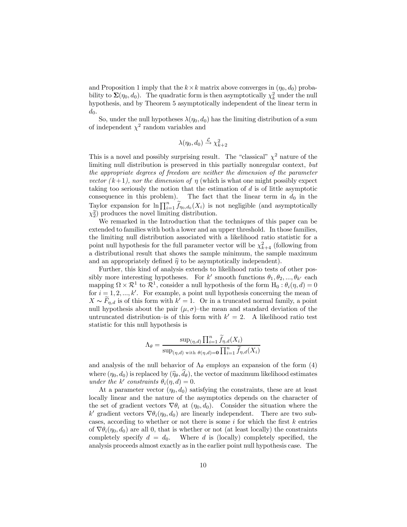and Proposition 1 imply that the  $k \times k$  matrix above converges in  $(\eta_0, d_0)$  probability to  $\Sigma(\eta_0, d_0)$ . The quadratic form is then asymptotically  $\chi^2_k$  under the null hypothesis, and by Theorem 5 asymptotically independent of the linear term in  $d_0$ .

So, under the null hypotheses  $\lambda(\eta_0, d_0)$  has the limiting distribution of a sum of independent  $\chi^2$  random variables and

$$
\lambda(\eta_0, d_0) \xrightarrow{\mathcal{L}} \chi^2_{k+2}
$$

This is a novel and possibly surprising result. The "classical"  $\chi^2$  nature of the limiting null distribution is preserved in this partially nonregular context, but the appropriate degrees of freedom are neither the dimension of the parameter vector  $(k+1)$ , nor the dimension of  $\eta$  (which is what one might possibly expect taking too seriously the notion that the estimation of  $d$  is of little asymptotic consequence in this problem). The fact that the linear term in  $d_0$  in the Taylor expansion for  $\ln \prod_{i=1}^n \widetilde{f}_{\eta_0,d_0}(X_i)$  is not negligible (and asymptotically  $\chi_2^2$ ) produces the novel limiting distribution.

We remarked in the Introduction that the techniques of this paper can be extended to families with both a lower and an upper threshold. In those families, the limiting null distribution associated with a likelihood ratio statistic for a point null hypothesis for the full parameter vector will be  $\chi^2_{k+4}$  (following from a distributional result that shows the sample minimum, the sample maximum and an appropriately defined  $\hat{\eta}$  to be asymptotically independent).

Further, this kind of analysis extends to likelihood ratio tests of other possibly more interesting hypotheses. For k' smooth functions  $\theta_1, \theta_2, ..., \theta_{k'}$  each mapping  $\Omega \times \mathcal{R}^1$  to  $\mathcal{R}^1$ , consider a null hypothesis of the form  $H_0 : \theta_i(\eta, d) = 0$ for  $i = 1, 2, ..., k'$ . For example, a point null hypothesis concerning the mean of  $X \sim F_{n,d}$  is of this form with  $k' = 1$ . Or in a truncated normal family, a point null hypothesis about the pair  $(\mu, \sigma)$ -the mean and standard deviation of the untruncated distribution–is of this form with  $k' = 2$ . A likelihood ratio test statistic for this null hypothesis is

$$
\Lambda_{\theta} = \frac{\sup_{(\eta,d)} \prod_{i=1}^{n} \widetilde{f}_{\eta,d}(X_i)}{\sup_{(\eta,d) \text{ with } \theta(\eta,d)=0} \prod_{i=1}^{n} \widetilde{f}_{\eta,d}(X_i)}
$$

and analysis of the null behavior of  $\Lambda_{\theta}$  employs an expansion of the form (4) where  $(\eta_0, d_0)$  is replaced by  $(\widehat{\eta}_{\theta}, d_{\theta})$ , the vector of maximum likelihood estimates under the k' constraints  $\theta_i(\eta, d)=0$ .

At a parameter vector  $(\eta_0, d_0)$  satisfying the constraints, these are at least locally linear and the nature of the asymptotics depends on the character of the set of gradient vectors  $\nabla \theta_i$  at  $(\eta_0, d_0)$ . Consider the situation where the k' gradient vectors  $\nabla \theta_i(\eta_0, d_0)$  are linearly independent. There are two subcases, according to whether or not there is some  $i$  for which the first  $k$  entries of  $\nabla \theta_i(\eta_0, d_0)$  are all 0, that is whether or not (at least locally) the constraints completely specify  $d = d_0$ . Where d is (locally) completely specified, the analysis proceeds almost exactly as in the earlier point null hypothesis case. The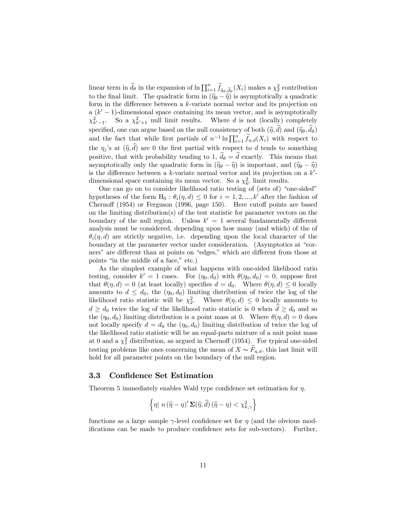linear term in  $\hat{d}_{\theta}$  in the expansion of ln  $\prod_{i=1}^n \tilde{f}_{\hat{\eta}_{\theta},\hat{d}_{\theta}}(X_i)$  makes a  $\chi^2$  contribution to the final limit. The quadratic form in  $(\hat{\eta}_{\theta} - \hat{\eta})$  is asymptotically a quadratic form in the difference between a k-variate normal vector and its projection on a  $(k'-1)$ -dimensional space containing its mean vector, and is asymptotically  $\chi^2_{k'-1}$ . So a  $\chi^2_{k'+1}$  null limit results. Where d is not (locally) completely specified, one can argue based on the null consistency of both  $(\hat{\eta}, d)$  and  $(\hat{\eta}_{\theta}, d_{\theta})$ and the fact that while first partials of  $n^{-1} \ln \prod_{i=1}^n \widetilde{f}_{\eta,d}(X_i)$  with respect to the  $\eta_j$ 's at  $(\hat{\eta}, d)$  are 0 the first partial with respect to d tends to something positive, that with probability tending to 1,  $d_{\theta} = d$  exactly. This means that asymptotically only the quadratic form in  $(\hat{\eta}_{\theta} - \hat{\eta})$  is important, and  $(\hat{\eta}_{\theta} - \hat{\eta})$ is the difference between a  $k$ -variate normal vector and its projection on a  $k'$ dimensional space containing its mean vector. So a  $\chi^2_{k'}$  limit results.

One can go on to consider likelihood ratio testing of (sets of) "one-sided" hypotheses of the form  $H_0 : \theta_i(\eta, d) \leq 0$  for  $i = 1, 2, ..., k'$  after the fashion of Chernoff (1954) or Ferguson (1996, page 150). Here cutoff points are based on the limiting distribution(s) of the test statistic for parameter vectors on the boundary of the null region. Unless  $k' = 1$  several fundamentally different analysis must be considered, depending upon how many (and which) of the of  $\theta_i(\eta, d)$  are strictly negative, i.e. depending upon the local character of the boundary at the parameter vector under consideration. (Asymptotics at "corners" are different than at points on "edges," which are different from those at points "in the middle of a face," etc.)

As the simplest example of what happens with one-sided likelihood ratio testing, consider  $k' = 1$  cases. For  $(\eta_0, d_0)$  with  $\theta(\eta_0, d_0) = 0$ , suppose first that  $\theta(\eta, d) = 0$  (at least locally) specifies  $d = d_0$ . Where  $\theta(\eta, d) \leq 0$  locally amounts to  $d \leq d_0$ , the  $(\eta_0, d_0)$  limiting distribution of twice the log of the likelihood ratio statistic will be  $\chi^2$ . Where  $\theta(\eta, d) \leq 0$  locally amounts to  $d \geq d_0$  twice the log of the likelihood ratio statistic is 0 when  $d \geq d_0$  and so the  $(\eta_0, d_0)$  limiting distribution is a point mass at 0. Where  $\theta(\eta, d)=0$  does not locally specify  $d = d_0$  the  $(\eta_0, d_0)$  limiting distribution of twice the log of the likelihood ratio statistic will be an equal-parts mixture of a unit point mass at 0 and a  $\chi_1^2$  distribution, as argued in Chernoff (1954). For typical one-sided testing problems like ones concerning the mean of  $X \sim F_{\eta,d}$ , this last limit will hold for all parameter points on the boundary of the null region.

### 3.3 Confidence Set Estimation

Theorem 5 immediately enables Wald type confidence set estimation for  $\eta$ .

$$
\left\{ \eta \mid n \left( \widehat{\eta} - \eta \right)^{\prime} \mathbf{\Sigma}(\widehat{\eta}, \widehat{d}) \left( \widehat{\eta} - \eta \right) < \chi_{k, \gamma}^{2} \right\}
$$

functions as a large sample  $\gamma$ -level confidence set for  $\eta$  (and the obvious modifications can be made to produce confidence sets for sub-vectors). Further,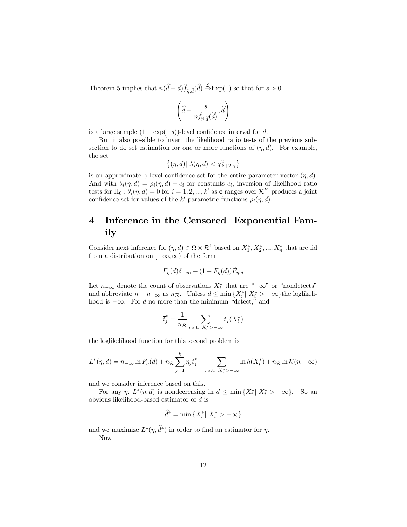Theorem 5 implies that  $n(d-d)f_{\hat{\eta},\hat{d}}(d) \stackrel{\mathcal{L}}{\rightarrow} \text{Exp}(1)$  so that for  $s > 0$ 

$$
\left(\widehat{d} - \frac{s}{n \widetilde{f}_{\widehat{\eta},\widehat{d}}(\widehat{d})}, \widehat{d}\right)
$$

is a large sample  $(1 - \exp(-s))$ -level confidence interval for d.

But it also possible to invert the likelihood ratio tests of the previous subsection to do set estimation for one or more functions of  $(\eta, d)$ . For example, the set

$$
\left\{(\eta,d)|\ \lambda(\eta,d)<\chi_{k+2,\gamma}^2\right\}
$$

is an approximate  $\gamma$ -level confidence set for the entire parameter vector  $(\eta, d)$ . And with  $\theta_i(\eta, d) = \rho_i(\eta, d) - c_i$  for constants  $c_i$ , inversion of likelihood ratio tests for H<sub>0</sub>:  $\theta_i(\eta, d) = 0$  for  $i = 1, 2, ..., k'$  as **c** ranges over  $\mathcal{R}^{k'}$  produces a joint confidence set for values of the k' parametric functions  $\rho_i(\eta, d)$ .

# 4 Inference in the Censored Exponential Family

Consider next inference for  $(\eta, d) \in \Omega \times \mathcal{R}^1$  based on  $X_1^*, X_2^*, ..., X_n^*$  that are iid from a distribution on  $[-\infty, \infty)$  of the form

$$
F_{\eta}(d)\delta_{-\infty} + (1 - F_{\eta}(d))\widetilde{F}_{\eta,d}
$$

Let  $n_{-\infty}$  denote the count of observations  $X_i^*$  that are " $-\infty$ " or "nondetects" and abbreviate  $n - n_{-\infty}$  as  $n_{\mathcal{R}}$ . Unless  $d \leq \min\{X_i^* | X_i^* > -\infty\}$  the loglikelihood is  $-\infty$ . For d no more than the minimum "detect," and

$$
\overline{t}_j^* = \frac{1}{n_{\mathcal{R}}} \sum_{i \text{ s.t. } X_i^* > -\infty} t_j(X_i^*)
$$

the loglikelihood function for this second problem is

$$
L^*(\eta, d) = n_{-\infty} \ln F_{\eta}(d) + n_{\mathcal{R}} \sum_{j=1}^k \eta_j \overline{t}_j^* + \sum_{i \text{ s.t. } X_i^* > -\infty} \ln h(X_i^*) + n_{\mathcal{R}} \ln \mathcal{K}(\eta, -\infty)
$$

and we consider inference based on this.

For any  $\eta$ ,  $L^*(\eta, d)$  is nondecreasing in  $d \leq \min\{X_i^* | X_i^* > -\infty\}$ . So an obvious likelihood-based estimator of d is

$$
\widehat{d}^* = \min\left\{X_i^* \middle| \ X_i^* > -\infty\right\}
$$

and we maximize  $L^*(\eta, d^*)$  in order to find an estimator for  $\eta$ . Now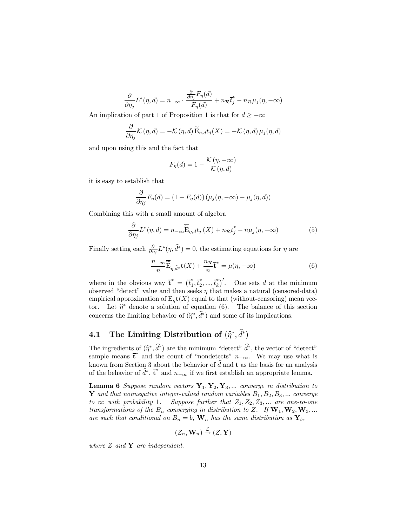$$
\frac{\partial}{\partial \eta_j} L^*(\eta, d) = n_{-\infty} \cdot \frac{\frac{\partial}{\partial \eta_j} F_{\eta}(d)}{F_{\eta}(d)} + n_{\mathcal{R}} \overline{t}_j^* - n_{\mathcal{R}} \mu_j(\eta, -\infty)
$$

An implication of part 1 of Proposition 1 is that for  $d \geq -\infty$ 

$$
\frac{\partial}{\partial \eta_j} \mathcal{K}(\eta, d) = -\mathcal{K}(\eta, d) \widetilde{\mathbf{E}}_{\eta, d} t_j(X) = -\mathcal{K}(\eta, d) \mu_j(\eta, d)
$$

and upon using this and the fact that

$$
F_{\eta}(d) = 1 - \frac{\mathcal{K}(\eta, -\infty)}{\mathcal{K}(\eta, d)}
$$

it is easy to establish that

$$
\frac{\partial}{\partial \eta_j} F_{\eta}(d) = (1 - F_{\eta}(d)) (\mu_j(\eta, -\infty) - \mu_j(\eta, d))
$$

Combining this with a small amount of algebra

$$
\frac{\partial}{\partial \eta_j} L^*(\eta, d) = n_{-\infty} \widetilde{\tilde{\mathcal{E}}}_{\eta, d} t_j(X) + n_{\mathcal{R}} \tilde{t}_j^* - n\mu_j(\eta, -\infty)
$$
(5)

Finally setting each  $\frac{\partial}{\partial \eta_j} L^*(\eta, \hat{d}^*)=0$ , the estimating equations for  $\eta$  are

$$
\frac{n_{-\infty}}{n}\overline{\widetilde{\mathbf{E}}}_{\eta,\widehat{d}^*}\mathbf{t}(X) + \frac{n_{\mathcal{R}}}{n}\overline{\mathbf{t}}^* = \mu(\eta, -\infty)
$$
 (6)

where in the obvious way  $\mathbf{\bar{t}}^* = (\bar{t}_1^*, \bar{t}_2^*, ..., \bar{t}_k^*)'$ . One sets d at the minimum observed "detect" value and then seeks  $\eta$  that makes a natural (censored-data) empirical approximation of  $E_n(t)$  equal to that (without-censoring) mean vector. Let  $\hat{\eta}^*$  denote a solution of equation (6). The balance of this section concerns the limiting behavior of  $(\hat{\eta}^*, d^*)$  and some of its implications.

# **4.1** The Limiting Distribution of  $(\widehat{\eta}^*, d^*)$

The ingredients of  $(\hat{\eta}^*, d^*)$  are the minimum "detect"  $d^*$ , the vector of "detect" sample means  $\bar{\mathbf{t}}^*$  and the count of "nondetects"  $n_{-\infty}$ . We may use what is known from Section 3 about the behavior of d and  $\bar{t}$  as the basis for an analysis of the behavior of  $\hat{d}^*, \bar{t}^*$  and  $n_{-\infty}$  if we first establish an appropriate lemma.

**Lemma 6** Suppose random vectors  $Y_1, Y_2, Y_3, ...$  converge in distribution to Y and that nonnegative integer-valued random variables  $B_1, B_2, B_3, \ldots$  converge to  $\infty$  with probability 1. Suppose further that  $Z_1, Z_2, Z_3, \ldots$  are one-to-one transformations of the  $B_n$  converging in distribution to Z. If  $\mathbf{W}_1, \mathbf{W}_2, \mathbf{W}_3, \dots$ are such that conditional on  $B_n = b$ ,  $\mathbf{W}_n$  has the same distribution as  $\mathbf{Y}_b$ ,

$$
(Z_n, \mathbf{W}_n) \stackrel{\mathcal{L}}{\rightarrow} (Z, \mathbf{Y})
$$

where  $Z$  and  $Y$  are independent.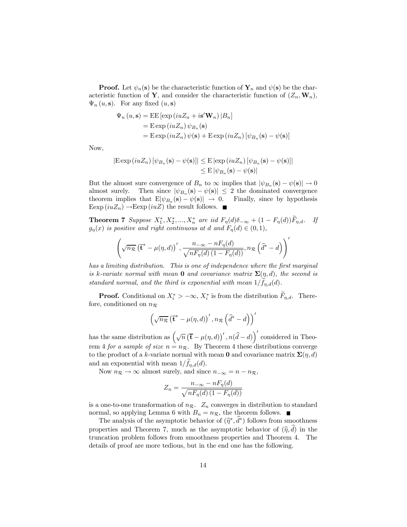**Proof.** Let  $\psi_n(\mathbf{s})$  be the characteristic function of  $\mathbf{Y}_n$  and  $\psi(\mathbf{s})$  be the characteristic function of Y, and consider the characteristic function of  $(Z_n, \mathbf{W}_n)$ ,  $\Psi_n(u, \mathbf{s})$ . For any fixed  $(u, \mathbf{s})$ 

$$
\Psi_n (u, \mathbf{s}) = \text{EE} [\exp(iuZ_n + i\mathbf{s}' \mathbf{W}_n) | B_n]
$$
  
=  $\text{E} \exp(iuZ_n) \psi_{B_n}(\mathbf{s})$   
=  $\text{E} \exp(iuZ_n) \psi(\mathbf{s}) + \text{E} \exp(iuZ_n) [\psi_{B_n}(\mathbf{s}) - \psi(\mathbf{s})]$ 

Now,

$$
|\text{E} \exp(iuZ_n) [\psi_{B_n}(\mathbf{s}) - \psi(\mathbf{s})]| \leq \text{E} |\exp(iuZ_n) [\psi_{B_n}(\mathbf{s}) - \psi(\mathbf{s})]|
$$
  

$$
\leq \text{E} |\psi_{B_n}(\mathbf{s}) - \psi(\mathbf{s})|
$$

But the almost sure convergence of  $B_n$  to  $\infty$  implies that  $|\psi_{B_n}(\mathbf{s}) - \psi(\mathbf{s})| \to 0$ almost surely. Then since  $|\psi_{B_n}(\mathbf{s}) - \psi(\mathbf{s})| \leq 2$  the dominated convergence theorem implies that  $E[\psi_{B_n}(\mathbf{s}) - \psi(\mathbf{s})] \to 0$ . Finally, since by hypothesis Eexp  $(iuZ_n) \rightarrow \text{Eexp}(iuZ)$  the result follows.

**Theorem 7** Suppose  $X_1^*, X_2^*, ..., X_n^*$  are iid  $F_{\eta}(d)\delta_{-\infty} + (1 - F_{\eta}(d))F_{\eta,d}$ . If  $g_{\eta}(x)$  is positive and right continuous at d and  $F_{\eta}(d) \in (0,1)$ ,

$$
\left(\sqrt{n_{\mathcal{R}}}\left(\overline{\mathbf{t}}^* - \mu(\eta, d)\right)', \frac{n_{-\infty} - nF_{\eta}(d)}{\sqrt{nF_{\eta}(d)(1 - F_{\eta}(d))}}, n_{\mathcal{R}}\left(\widehat{d}^* - d\right)\right)'
$$

has a limiting distribution. This is one of independence where the first marginal is k-variate normal with mean **0** and covariance matrix  $\Sigma(\eta, d)$ , the second is standard normal, and the third is exponential with mean  $1/f_{\eta,d}(d)$ .

**Proof.** Conditional on  $X_i^* > -\infty$ ,  $X_i^*$  is from the distribution  $F_{\eta,d}$ . Therefore, conditioned on  $n_{\mathcal{R}}$ 

$$
\left(\sqrt{n_{\mathcal{R}}} \left(\overline{\mathbf{t}}^* - \mu(\eta, d)\right)', n_{\mathcal{R}} \left(\widehat{d}^* - d\right)\right)'
$$

has the same distribution as  $(\sqrt{n} (\bar{t} - \mu(\eta, d))', n(\hat{d} - d))'$  considered in Theorem 4 for a sample of size  $n = n<sub>R</sub>$ . By Theorem 4 these distributions converge to the product of a k-variate normal with mean 0 and covariance matrix  $\Sigma(\eta, d)$ and an exponential with mean  $1/f_{\eta,d}(d)$ .

Now  $n_{\mathcal{R}} \to \infty$  almost surely, and since  $n_{-\infty} = n - n_{\mathcal{R}}$ ,

$$
Z_n = \frac{n_{-\infty} - nF_{\eta}(d)}{\sqrt{nF_{\eta}(d) \left(1 - F_{\eta}(d)\right)}}
$$

is a one-to-one transformation of  $n_{\mathcal{R}}$ .  $Z_n$  converges in distribution to standard normal, so applying Lemma 6 with  $B_n = n_{\mathcal{R}}$ , the theorem follows.

The analysis of the asymptotic behavior of  $(\hat{\eta}^*, d^*)$  follows from smoothness properties and Theorem 7, much as the asymptotic behavior of  $(\hat{\eta}, d)$  in the truncation problem follows from smoothness properties and Theorem 4. The details of proof are more tedious, but in the end one has the following.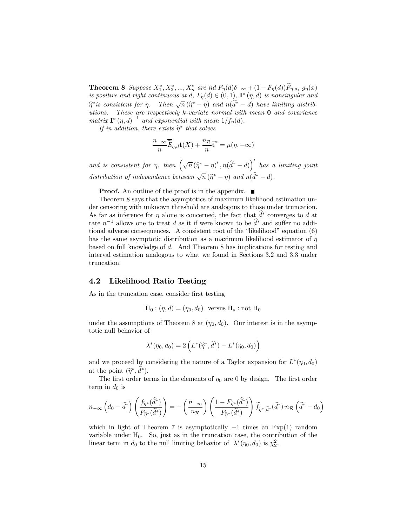**Theorem 8** Suppose  $X_1^*, X_2^*, ..., X_n^*$  are iid  $F_{\eta}(d)\delta_{-\infty} + (1 - F_{\eta}(d))F_{\eta,d}, g_{\eta}(x)$ is positive and right continuous at d,  $F_{\eta}(d) \in (0,1)$ ,  $\mathbf{I}^*(\eta, d)$  is nonsingular and  $\widehat{\eta}^*$  is consistent for  $\eta$ . Then  $\sqrt{n}(\widehat{\eta}^* - \eta)$  and  $n(\widehat{d}^* - d)$  have limiting distributions. These are respectively  $k$ -variate normal with mean  $0$  and covariance matrix  $\mathbf{I}^*(\eta, d)^{-1}$  and exponential with mean  $1/f_{\eta}(d)$ .

If in addition, there exists  $\widetilde{\eta}^*$  that solves

$$
\frac{n_{-\infty}}{n}\overline{\widetilde{E}}_{\eta,d}\mathbf{t}(X) + \frac{n_{\mathcal{R}}}{n}\overline{\mathbf{t}}^* = \mu(\eta, -\infty)
$$

and is consistent for  $\eta$ , then  $(\sqrt{n}(\hat{\eta}^* - \eta)'$ ,  $n(\hat{d}^* - d)$  has a limiting joint distribution of independence between  $\sqrt{n}(\widehat{\eta}^* - \eta)$  and  $n(\widehat{d}^* - d)$ .

**Proof.** An outline of the proof is in the appendix.  $\blacksquare$ 

Theorem 8 says that the asymptotics of maximum likelihood estimation under censoring with unknown threshold are analogous to those under truncation. As far as inference for  $\eta$  alone is concerned, the fact that  $d^*$  converges to d at rate  $n^{-1}$  allows one to treat d as it if were known to be  $\tilde{d}^*$  and suffer no additional adverse consequences. A consistent root of the "likelihood" equation (6) has the same asymptotic distribution as a maximum likelihood estimator of  $\eta$ based on full knowledge of d. And Theorem 8 has implications for testing and interval estimation analogous to what we found in Sections 3.2 and 3.3 under truncation.

### 4.2 Likelihood Ratio Testing

As in the truncation case, consider first testing

 $H_0: (\eta, d) = (\eta_0, d_0)$  versus  $H_a$ : not  $H_0$ 

under the assumptions of Theorem 8 at  $(\eta_0, d_0)$ . Our interest is in the asymptotic null behavior of

$$
\lambda^*(\eta_0,d_0)=2\left(L^*(\widehat{\eta}^*,\widehat{d}^*)-L^*(\eta_0,d_0)\right)
$$

and we proceed by considering the nature of a Taylor expansion for  $L^*(\eta_0, d_0)$ at the point  $(\hat{\eta}^*, d^*)$ .

The first order terms in the elements of  $\eta_0$  are 0 by design. The first order term in  $d_0$  is

$$
n_{-\infty}\left(d_0 - \widehat{d}^*\right)\left(\frac{f_{\widehat{\eta}^*}(\widehat{d}^*)}{F_{\widehat{\eta}^*}(\widehat{d}^*)}\right) = -\left(\frac{n_{-\infty}}{n_{\mathcal{R}}}\right)\left(\frac{1 - F_{\widehat{\eta}^*}(\widehat{d}^*)}{F_{\widehat{\eta}^*}(\widehat{d}^*)}\right)\widetilde{f}_{\widehat{\eta}^*,\widehat{d}^*}(\widehat{d}^*)\cdot n_{\mathcal{R}}\left(\widehat{d}^*-d_0\right)
$$

which in light of Theorem 7 is asymptotically  $-1$  times an Exp(1) random variable under  $H_0$ . So, just as in the truncation case, the contribution of the linear term in  $d_0$  to the null limiting behavior of  $\lambda^*(\eta_0, d_0)$  is  $\chi_2^2$ .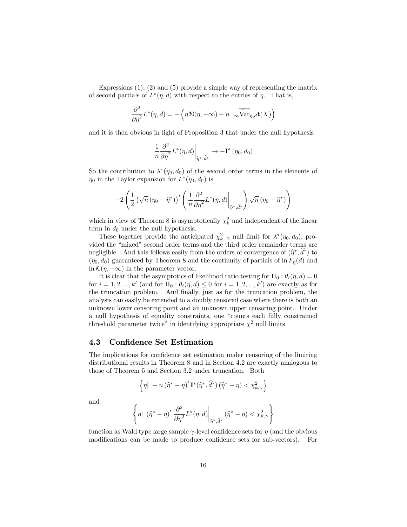Expressions  $(1), (2)$  and  $(5)$  provide a simple way of representing the matrix of second partials of  $L^*(\eta, d)$  with respect to the entries of  $\eta$ . That is,

$$
\frac{\partial^2}{\partial \eta^2} L^*(\eta, d) = -\left( n \Sigma(\eta, -\infty) - n_{-\infty} \widetilde{\widehat{\text{Var}}}_{\eta, d} \mathbf{t}(X) \right)
$$

and it is then obvious in light of Proposition 3 that under the null hypothesis

$$
\left.\frac{1}{n} \frac{\partial^2}{\partial \eta^2} L^*(\eta,d)\right|_{\widehat{\eta}^*,\widehat{d}^*} \rightarrow -\mathbf{I}^*\left(\eta_0,d_0\right)
$$

So the contribution to  $\lambda^*(\eta_0, d_0)$  of the second order terms in the elements of  $\eta_0$  in the Taylor expansion for  $L^*(\eta_0, d_0)$  is

$$
-2\left(\frac{1}{2}\left(\sqrt{n}\left(\eta_0-\widehat{\eta}^*\right)\right)'\left(\left.\frac{1}{n}\frac{\partial^2}{\partial\eta^2}L^*(\eta,d)\right|_{\widehat{\eta}^*,\widehat{d}^*}\right)\sqrt{n}\left(\eta_0-\widehat{\eta}^*\right)\right)
$$

which in view of Theorem 8 is asymptotically  $\chi^2_k$  and independent of the linear term in  $d_0$  under the null hypothesis.

These together provide the anticipated  $\chi^2_{k+2}$  null limit for  $\lambda^*(\eta_0, d_0)$ , provided the "mixed" second order terms and the third order remainder terms are negligible. And this follows easily from the orders of convergence of  $(\hat{\eta}^*, d^*)$  to  $(\kappa, d)$  are proportional to Theorem  $\hat{\beta}$  and the continuity of negligible of  $\kappa$ ,  $(\hat{d})$  and  $(\eta_0, d_0)$  guaranteed by Theorem 8 and the continuity of partials of  $\ln F_\eta(d)$  and  $\ln \mathcal{K}(\eta, -\infty)$  in the parameter vector.

It is clear that the asymptotics of likelihood ratio testing for H<sub>0</sub> :  $\theta_i(\eta, d) = 0$ for  $i = 1, 2, ..., k'$  (and for  $H_0 : \theta_i(\eta, d) \le 0$  for  $i = 1, 2, ..., k'$ ) are exactly as for the truncation problem. And finally, just as for the truncation problem, the analysis can easily be extended to a doubly censored case where there is both an unknown lower censoring point and an unknown upper censoring point. Under a null hypothesis of equality constraints, one "counts each fully constrained threshold parameter twice" in identifying appropriate  $\chi^2$  null limits.

### 4.3 Confidence Set Estimation

The implications for confidence set estimation under censoring of the limiting distributional results in Theorem 8 and in Section 4.2 are exactly analogous to those of Theorem 5 and Section 3.2 under truncation. Both

$$
\left\{ \eta \middle| \ -n\left(\widehat{\eta}^* - \eta\right)' \mathbf{I}^*(\widehat{\eta}^*, \widehat{d}^*) \left(\widehat{\eta}^* - \eta\right) < \chi^2_{k,\gamma} \right\}
$$

and

$$
\left\{\eta|\ \left(\widehat{\eta}^*-\eta\right)'\frac{\partial^2}{\partial\eta^2}L^*(\eta,d)\bigg|_{\widehat{\eta}^*,\widehat{d}^*}\left(\widehat{\eta}^*-\eta\right)<\chi^2_{k,\gamma}\right\}
$$

function as Wald type large sample  $\gamma$ -level confidence sets for  $\eta$  (and the obvious modifications can be made to produce confidence sets for sub-vectors). For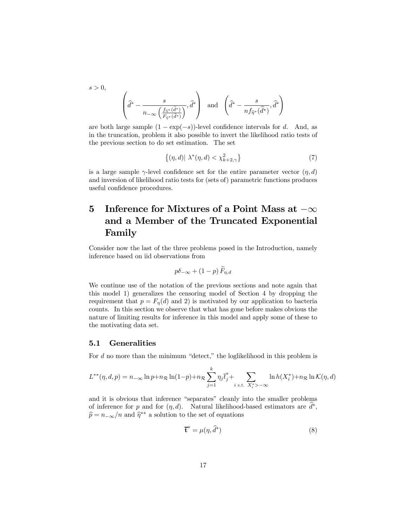$$
s > 0,
$$
  

$$
\left(\widehat{d}^* - \frac{s}{n_{-\infty}\left(\frac{f_{\widehat{\eta}^*}(\widehat{d}^*)}{F_{\widehat{\eta}^*}(\widehat{d}^*)}\right)}, \widehat{d}^*\right)
$$
 and 
$$
\left(\widehat{d}^* - \frac{s}{nf_{\widehat{\eta}^*}(\widehat{d}^*)}, \widehat{d}^*\right)
$$

are both large sample  $(1 - \exp(-s))$ -level confidence intervals for d. And, as in the truncation, problem it also possible to invert the likelihood ratio tests of the previous section to do set estimation. The set

$$
\left\{ (\eta, d) | \lambda^*(\eta, d) < \chi^2_{k+2, \gamma} \right\} \tag{7}
$$

is a large sample  $\gamma$ -level confidence set for the entire parameter vector  $(\eta, d)$ and inversion of likelihood ratio tests for (sets of) parametric functions produces useful confidence procedures.

# 5 Inference for Mixtures of a Point Mass at  $-\infty$ and a Member of the Truncated Exponential Family

Consider now the last of the three problems posed in the Introduction, namely inference based on iid observations from

$$
p\delta_{-\infty} + (1-p)\,\widetilde{F}_{\eta,d}
$$

We continue use of the notation of the previous sections and note again that this model 1) generalizes the censoring model of Section 4 by dropping the requirement that  $p = F_n(d)$  and 2) is motivated by our application to bacteria counts. In this section we observe that what has gone before makes obvious the nature of limiting results for inference in this model and apply some of these to the motivating data set.

#### 5.1 Generalities

For d no more than the minimum "detect," the loglikelihood in this problem is

$$
L^{**}(\eta, d, p) = n_{-\infty} \ln p + n_{\mathcal{R}} \ln(1-p) + n_{\mathcal{R}} \sum_{j=1}^{k} \eta_j \overline{t}_j^* + \sum_{i \text{ s.t. } X_i^* > -\infty} \ln h(X_i^*) + n_{\mathcal{R}} \ln \mathcal{K}(\eta, d)
$$

and it is obvious that inference "separates" cleanly into the smaller problems of inference for p and for  $(\eta, d)$ . Natural likelihood-based estimators are  $d^*$ ,  $\widehat{p} = n_{-\infty}/n$  and  $\widehat{\eta}^{**}$  a solution to the set of equations

$$
\mathbf{\bar{t}}^* = \mu(\eta, \hat{d}^*)
$$
\n(8)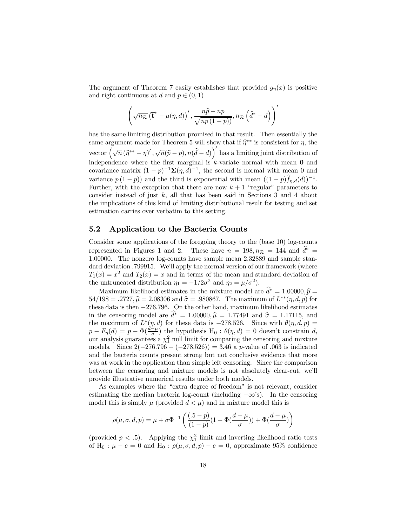The argument of Theorem 7 easily establishes that provided  $g_{\eta}(x)$  is positive and right continuous at d and  $p \in (0, 1)$ 

$$
\left(\sqrt{n_{\mathcal{R}}} \left(\overline{\mathbf{t}}^* - \mu(\eta, d)\right)', \frac{n\widehat{p} - np}{\sqrt{np(1-p)}}, n_{\mathcal{R}} \left(\widehat{d}^* - d\right)\right)'
$$

has the same limiting distribution promised in that result. Then essentially the same argument made for Theorem 5 will show that if  $\hat{\eta}^{**}$  is consistent for  $\eta$ , the vector  $(\sqrt{n}(\hat{\eta}^{**} - \eta)'$ ,  $\sqrt{n}(\hat{p} - p)$ ,  $n(\hat{d} - d)$  has a limiting joint distribution of independence where the first marginal is  $k$ -variate normal with mean  $0$  and covariance matrix  $(1-p)^{-1}\Sigma(\eta, d)^{-1}$ , the second is normal with mean 0 and variance  $p(1-p)$  and the third is exponential with mean  $((1-p)f_{\eta,d}(d))^{-1}$ . Further, with the exception that there are now  $k + 1$  "regular" parameters to consider instead of just  $k$ , all that has been said in Sections 3 and 4 about the implications of this kind of limiting distributional result for testing and set estimation carries over verbatim to this setting.

### 5.2 Application to the Bacteria Counts

Consider some applications of the foregoing theory to the (base 10) log-counts represented in Figures 1 and 2. These have  $n = 198, n_{\mathcal{R}} = 144$  and  $d^* =$ 1.00000. The nonzero log-counts have sample mean 2.32889 and sample standard deviation .799915. We'll apply the normal version of our framework (where  $T_1(x) = x^2$  and  $T_2(x) = x$  and in terms of the mean and standard deviation of the untruncated distribution  $\eta_1 = -1/2\sigma^2$  and  $\eta_2 = \mu/\sigma^2$ ).

Maximum likelihood estimates in the mixture model are  $d^* = 1.00000, \hat{p} = 108$  $54/198 = .2727$ ,  $\hat{\mu} = 2.08306$  and  $\hat{\sigma} = .980867$ . The maximum of  $L^{**}(\eta, d, p)$  for these data is then −276.796. On the other hand, maximum likelihood estimates in the censoring model are  $d^* = 1.00000, \hat{\mu} = 1.77491$  and  $\hat{\sigma} = 1.17115$ , and the measure of  $I^*(\eta, d)$  for these data is  $278.596$ . Since with  $\theta(\eta, d, \eta)$ the maximum of  $L^*(\eta, d)$  for these data is -278.526. Since with  $\theta(\eta, d, p)$  =  $p - F_{\eta}(d) = p - \Phi(\frac{d-\mu}{\sigma})$  the hypothesis  $H_0 : \theta(\eta, d) = 0$  doesn't constrain d, our analysis guarantees a  $\chi_1^2$  null limit for comparing the censoring and mixture models. Since  $2(-276.796 - (-278.526)) = 3.46$  a p-value of .063 is indicated and the bacteria counts present strong but not conclusive evidence that more was at work in the application than simple left censoring. Since the comparison between the censoring and mixture models is not absolutely clear-cut, we'll provide illustrative numerical results under both models.

As examples where the "extra degree of freedom" is not relevant, consider estimating the median bacteria log-count (including  $-\infty$ 's). In the censoring model this is simply  $\mu$  (provided  $d < \mu$ ) and in mixture model this is

$$
\rho(\mu,\sigma,d,p)=\mu+\sigma\Phi^{-1}\left(\frac{(.5-p)}{(1-p)}(1-\Phi(\frac{d-\mu}{\sigma}))+\Phi(\frac{d-\mu}{\sigma})\right)
$$

(provided  $p < .5$ ). Applying the  $\chi_1^2$  limit and inverting likelihood ratio tests of H<sub>0</sub> :  $\mu - c = 0$  and H<sub>0</sub> :  $\rho(\mu, \sigma, d, p) - c = 0$ , approximate 95% confidence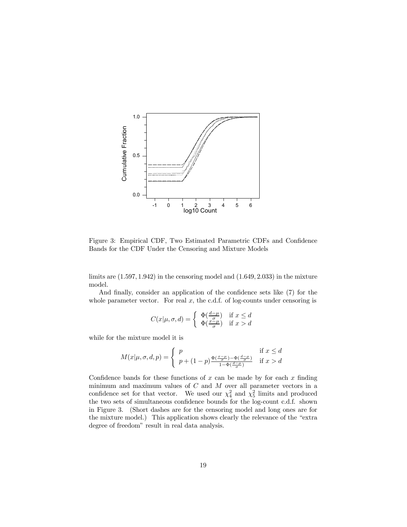

Figure 3: Empirical CDF, Two Estimated Parametric CDFs and Confidence Bands for the CDF Under the Censoring and Mixture Models

limits are  $(1.597, 1.942)$  in the censoring model and  $(1.649, 2.033)$  in the mixture model.

And finally, consider an application of the confidence sets like (7) for the whole parameter vector. For real  $x$ , the c.d.f. of log-counts under censoring is

$$
C(x|\mu, \sigma, d) = \begin{cases} \Phi(\frac{d-\mu}{\sigma}) & \text{if } x \le d \\ \Phi(\frac{x-\mu}{\sigma}) & \text{if } x > d \end{cases}
$$

while for the mixture model it is

$$
M(x|\mu, \sigma, d, p) = \begin{cases} p & \text{if } x \le d \\ p + (1-p) \frac{\Phi(\frac{x-\mu}{\sigma}) - \Phi(\frac{d-\mu}{\sigma})}{1 - \Phi(\frac{d-\mu}{\sigma})} & \text{if } x > d \end{cases}
$$

Confidence bands for these functions of x can be made by for each x finding minimum and maximum values of  $C$  and  $M$  over all parameter vectors in a confidence set for that vector. We used our  $\chi^2_4$  and  $\chi^2_5$  limits and produced the two sets of simultaneous confidence bounds for the log-count c.d.f. shown in Figure 3. (Short dashes are for the censoring model and long ones are for the mixture model.) This application shows clearly the relevance of the "extra degree of freedom" result in real data analysis.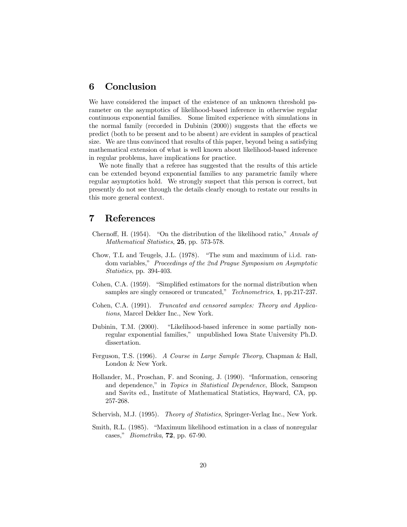## 6 Conclusion

We have considered the impact of the existence of an unknown threshold parameter on the asymptotics of likelihood-based inference in otherwise regular continuous exponential families. Some limited experience with simulations in the normal family (recorded in Dubinin (2000)) suggests that the effects we predict (both to be present and to be absent) are evident in samples of practical size. We are thus convinced that results of this paper, beyond being a satisfying mathematical extension of what is well known about likelihood-based inference in regular problems, have implications for practice.

We note finally that a referee has suggested that the results of this article can be extended beyond exponential families to any parametric family where regular asymptotics hold. We strongly suspect that this person is correct, but presently do not see through the details clearly enough to restate our results in this more general context.

### 7 References

- Chernoff, H. (1954). "On the distribution of the likelihood ratio," Annals of Mathematical Statistics, 25, pp. 573-578.
- Chow, T.L and Teugels, J.L. (1978). "The sum and maximum of i.i.d. random variables," Proceedings of the 2nd Prague Symposium on Asymptotic Statistics, pp. 394-403.
- Cohen, C.A. (1959). "Simplified estimators for the normal distribution when samples are singly censored or truncated," Technometrics, 1, pp.217-237.
- Cohen, C.A. (1991). Truncated and censored samples: Theory and Applications, Marcel Dekker Inc., New York.
- Dubinin, T.M. (2000). "Likelihood-based inference in some partially nonregular exponential families," unpublished Iowa State University Ph.D. dissertation.
- Ferguson, T.S. (1996). A Course in Large Sample Theory, Chapman & Hall, London & New York.
- Hollander, M., Proschan, F. and Sconing, J. (1990). "Information, censoring and dependence," in Topics in Statistical Dependence, Block, Sampson and Savits ed., Institute of Mathematical Statistics, Hayward, CA, pp. 257-268.
- Schervish, M.J. (1995). Theory of Statistics, Springer-Verlag Inc., New York.
- Smith, R.L. (1985). "Maximum likelihood estimation in a class of nonregular cases," Biometrika, 72, pp. 67-90.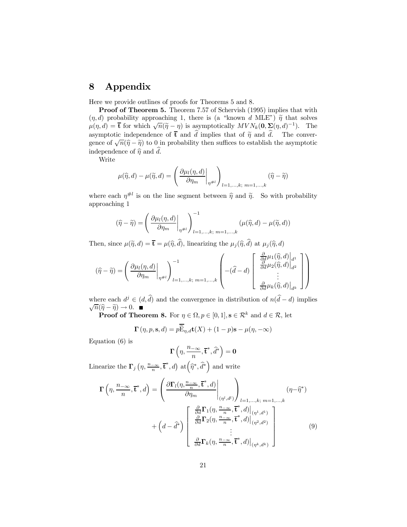## 8 Appendix

Here we provide outlines of proofs for Theorems 5 and 8.

Proof of Theorem 5. Theorem 7.57 of Schervish (1995) implies that with  $(\eta, d)$  probability approaching 1, there is (a "known d MLE")  $\tilde{\eta}$  that solves  $\mu(\eta, d) = \bar{\mathbf{t}}$  for which  $\sqrt{n}(\tilde{\eta} - \eta)$  is asymptotically  $MVN_k(\mathbf{0}, \Sigma(\eta, d)^{-1})$ . The asymptotic independence of  $\bar{t}$  and d implies that of  $\tilde{\eta}$  and d. The conver-<br>gauge of  $\sqrt{\tilde{\eta}}$   $\approx$   $\tilde{\eta}$  to 0 in probability than suffices to establish the computation gence of  $\sqrt{n}(\hat{\eta}-\hat{\eta})$  to 0 in probability then suffices to establish the asymptotic independence of  $\hat{\eta}$  and d.

Write

$$
\mu(\widehat{\eta}, d) - \mu(\widetilde{\eta}, d) = \left(\frac{\partial \mu_l(\eta, d)}{\partial \eta_m}\bigg|_{\eta \neq l}\right)_{l=1,\dots,k;\ m=1,\dots,k} (\widehat{\eta} - \widehat{\eta})
$$

where each  $\eta^{\#l}$  is on the line segment between  $\hat{\eta}$  and  $\tilde{\eta}$ . So with probability approaching 1

$$
(\widehat{\eta} - \widetilde{\eta}) = \left(\frac{\partial \mu_l(\eta, d)}{\partial \eta_m}\bigg|_{\eta \neq l}\right)_{l=1,\dots,k;\ m=1,\dots,k}^{-1} (\mu(\widehat{\eta}, d) - \mu(\widetilde{\eta}, d))
$$

Then, since  $\mu(\tilde{\eta}, d) = \bar{\mathbf{t}} = \mu(\hat{\eta}, d)$ , linearizing the  $\mu_j(\hat{\eta}, d)$  at  $\mu_j(\hat{\eta}, d)$ 

$$
(\widehat{\eta} - \widetilde{\eta}) = \left(\frac{\partial \mu_l(\eta, d)}{\partial \eta_m}\bigg|_{\eta \neq l}\right)_{l=1,\dots,k;\ m=1,\dots,k}^{-1} \left(\begin{matrix} -(\widehat{d} - d) \begin{bmatrix} \frac{\partial}{\partial d} \mu_1(\widehat{\eta}, d) \bigg|_{d^1} \\ \frac{\partial}{\partial d} \mu_2(\widehat{\eta}, d) \bigg|_{d^2} \\ \vdots \\ \frac{\partial}{\partial d} \mu_k(\widehat{\eta}, d) \bigg|_{d^k} \end{bmatrix}\right)
$$

where each  $d^j \in (d, d)$  and the convergence in distribution of  $n(d - d)$  implies  $\sqrt{n}(\widehat{\eta}-\widetilde{\eta})\to 0.$  ■

**Proof of Theorem 8.** For  $\eta \in \Omega, p \in [0, 1], \mathbf{s} \in \mathbb{R}^k$  and  $d \in \mathbb{R}$ , let

$$
\mathbf{\Gamma}\left(\eta,p,\mathbf{s},d\right) = p\widetilde{\widetilde{\mathbf{E}}}_{\eta,d}\mathbf{t}(X) + (1-p)\mathbf{s} - \mu(\eta,-\infty)
$$

Equation (6) is

$$
\Gamma\left(\eta,\frac{n_{-\infty}}{n},\overline{\mathbf{t}}^*,\widehat{d}^*\right)=\mathbf{0}
$$

Linearize the  $\Gamma_j\left(\eta,\frac{n_{-\infty}}{n},\overline{\mathbf{t}}^*,d\right)$  at  $(\widehat{\eta}^*,\widehat{d}^*)$  and write

$$
\mathbf{\Gamma}\left(\eta, \frac{n_{-\infty}}{n}, \overline{\mathbf{t}}^*, d\right) = \left(\frac{\partial \mathbf{\Gamma}_l(\eta, \frac{n_{-\infty}}{n}, \overline{\mathbf{t}}^*, d)}{\partial \eta_m}\bigg|_{(\eta^l, d^l)}\right)_{l=1, \dots, k; \ m=1, \dots, k} (\eta - \widehat{\eta}^*)
$$
\n
$$
+ \left(d - \widehat{d}^*\right) \begin{bmatrix} \frac{\partial}{\partial d} \mathbf{\Gamma}_1(\eta, \frac{n_{-\infty}}{n}, \overline{\mathbf{t}}^*, d)\big|_{(\eta^1, d^1)} \\ \frac{\partial}{\partial d} \mathbf{\Gamma}_2(\eta, \frac{n_{-\infty}}{n}, \overline{\mathbf{t}}^*, d)\big|_{(\eta^2, d^2)} \\ \vdots \\ \frac{\partial}{\partial d} \mathbf{\Gamma}_k(\eta, \frac{n_{-\infty}}{n}, \overline{\mathbf{t}}^*, d)\big|_{(\eta^k, d^k)} \end{bmatrix} \tag{9}
$$